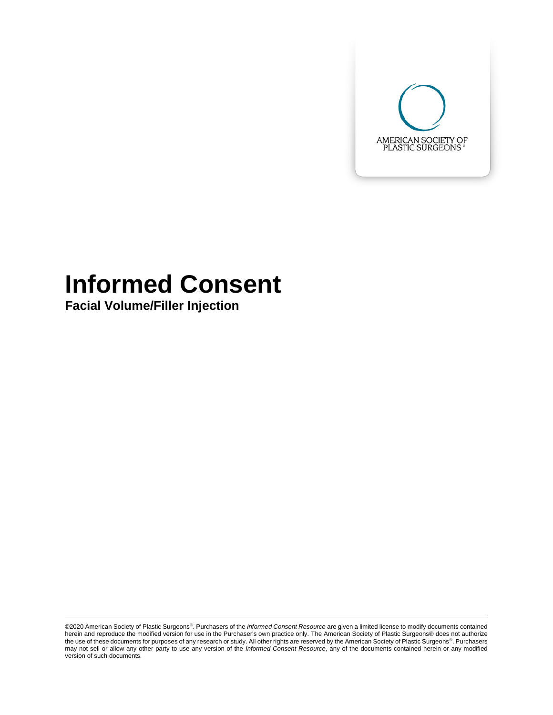

# **Informed Consent**

**Facial Volume/Filler Injection**

©2020 American Society of Plastic Surgeons®. Purchasers of the *Informed Consent Resource* are given a limited license to modify documents contained herein and reproduce the modified version for use in the Purchaser's own practice only. The American Society of Plastic Surgeons® does not authorize the use of these documents for purposes of any research or study. All other rights are reserved by the American Society of Plastic Surgeons®. Purchasers may not sell or allow any other party to use any version of the *Informed Consent Resource*, any of the documents contained herein or any modified version of such documents.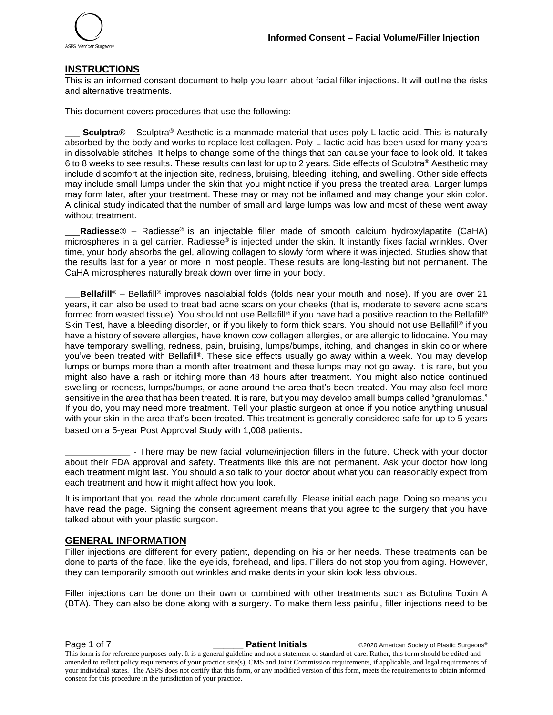

#### **INSTRUCTIONS**

This is an informed consent document to help you learn about facial filler injections. It will outline the risks and alternative treatments.

This document covers procedures that use the following:

**Sculptra**® – Sculptra<sup>®</sup> Aesthetic is a manmade material that uses poly-L-lactic acid. This is naturally absorbed by the body and works to replace lost collagen. Poly-L-lactic acid has been used for many years in dissolvable stitches. It helps to change some of the things that can cause your face to look old. It takes 6 to 8 weeks to see results. These results can last for up to 2 years. Side effects of Sculptra® Aesthetic may include discomfort at the injection site, redness, bruising, bleeding, itching, and swelling. Other side effects may include small lumps under the skin that you might notice if you press the treated area. Larger lumps may form later, after your treatment. These may or may not be inflamed and may change your skin color. A clinical study indicated that the number of small and large lumps was low and most of these went away without treatment.

\_\_\_**Radiesse**® – Radiesse® is an injectable filler made of smooth calcium hydroxylapatite (CaHA) microspheres in a gel carrier. Radiesse® is injected under the skin. It instantly fixes facial wrinkles. Over time, your body absorbs the gel, allowing collagen to slowly form where it was injected. Studies show that the results last for a year or more in most people. These results are long-lasting but not permanent. The CaHA microspheres naturally break down over time in your body.

**Bellafill**<sup>®</sup> – Bellafill<sup>®</sup> improves nasolabial folds (folds near your mouth and nose). If you are over 21 years, it can also be used to treat bad acne scars on your cheeks (that is, moderate to severe acne scars formed from wasted tissue). You should not use Bellafill® if you have had a positive reaction to the Bellafill® Skin Test, have a bleeding disorder, or if you likely to form thick scars. You should not use Bellafill® if you have a history of severe allergies, have known cow collagen allergies, or are allergic to lidocaine. You may have temporary swelling, redness, pain, bruising, lumps/bumps, itching, and changes in skin color where you've been treated with Bellafill®. These side effects usually go away within a week. You may develop lumps or bumps more than a month after treatment and these lumps may not go away. It is rare, but you might also have a rash or itching more than 48 hours after treatment. You might also notice continued swelling or redness, lumps/bumps, or acne around the area that's been treated. You may also feel more sensitive in the area that has been treated. It is rare, but you may develop small bumps called "granulomas." If you do, you may need more treatment. Tell your plastic surgeon at once if you notice anything unusual with your skin in the area that's been treated. This treatment is generally considered safe for up to 5 years based on a 5-year Post Approval Study with 1,008 patients.

**\_\_\_\_\_\_\_\_\_\_\_\_\_** - There may be new facial volume/injection fillers in the future. Check with your doctor about their FDA approval and safety. Treatments like this are not permanent. Ask your doctor how long each treatment might last. You should also talk to your doctor about what you can reasonably expect from each treatment and how it might affect how you look.

It is important that you read the whole document carefully. Please initial each page. Doing so means you have read the page. Signing the consent agreement means that you agree to the surgery that you have talked about with your plastic surgeon.

#### **GENERAL INFORMATION**

Filler injections are different for every patient, depending on his or her needs. These treatments can be done to parts of the face, like the eyelids, forehead, and lips. Fillers do not stop you from aging. However, they can temporarily smooth out wrinkles and make dents in your skin look less obvious.

Filler injections can be done on their own or combined with other treatments such as Botulina Toxin A (BTA). They can also be done along with a surgery. To make them less painful, filler injections need to be

**Page 1 of 7 \_\_\_\_\_\_\_ Patient Initials** ©2020 American Society of Plastic Surgeons®

This form is for reference purposes only. It is a general guideline and not a statement of standard of care. Rather, this form should be edited and amended to reflect policy requirements of your practice site(s), CMS and Joint Commission requirements, if applicable, and legal requirements of your individual states. The ASPS does not certify that this form, or any modified version of this form, meets the requirements to obtain informed consent for this procedure in the jurisdiction of your practice.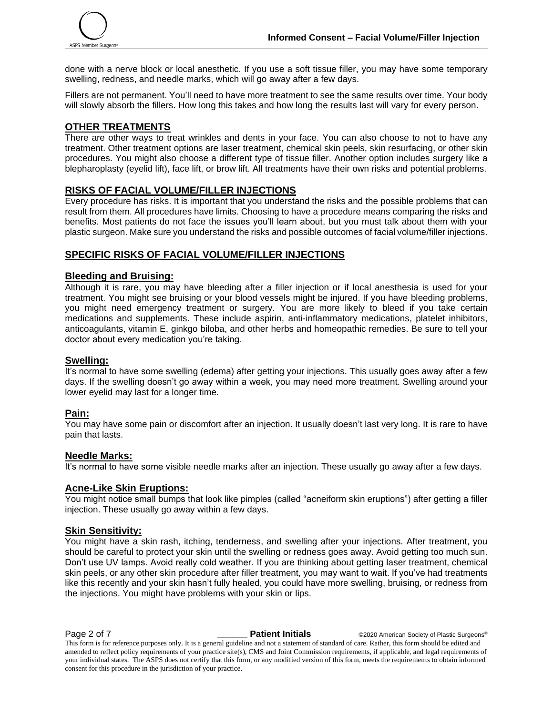done with a nerve block or local anesthetic. If you use a soft tissue filler, you may have some temporary swelling, redness, and needle marks, which will go away after a few days.

Fillers are not permanent. You'll need to have more treatment to see the same results over time. Your body will slowly absorb the fillers. How long this takes and how long the results last will vary for every person.

#### **OTHER TREATMENTS**

There are other ways to treat wrinkles and dents in your face. You can also choose to not to have any treatment. Other treatment options are laser treatment, chemical skin peels, skin resurfacing, or other skin procedures. You might also choose a different type of tissue filler. Another option includes surgery like a blepharoplasty (eyelid lift), face lift, or brow lift. All treatments have their own risks and potential problems.

### **RISKS OF FACIAL VOLUME/FILLER INJECTIONS**

Every procedure has risks. It is important that you understand the risks and the possible problems that can result from them. All procedures have limits. Choosing to have a procedure means comparing the risks and benefits. Most patients do not face the issues you'll learn about, but you must talk about them with your plastic surgeon. Make sure you understand the risks and possible outcomes of facial volume/filler injections.

### **SPECIFIC RISKS OF FACIAL VOLUME/FILLER INJECTIONS**

#### **Bleeding and Bruising:**

Although it is rare, you may have bleeding after a filler injection or if local anesthesia is used for your treatment. You might see bruising or your blood vessels might be injured. If you have bleeding problems, you might need emergency treatment or surgery. You are more likely to bleed if you take certain medications and supplements. These include aspirin, anti-inflammatory medications, platelet inhibitors, anticoagulants, vitamin E, ginkgo biloba, and other herbs and homeopathic remedies. Be sure to tell your doctor about every medication you're taking.

#### **Swelling:**

It's normal to have some swelling (edema) after getting your injections. This usually goes away after a few days. If the swelling doesn't go away within a week, you may need more treatment. Swelling around your lower eyelid may last for a longer time.

#### **Pain:**

You may have some pain or discomfort after an injection. It usually doesn't last very long. It is rare to have pain that lasts.

#### **Needle Marks:**

It's normal to have some visible needle marks after an injection. These usually go away after a few days.

#### **Acne-Like Skin Eruptions:**

You might notice small bumps that look like pimples (called "acneiform skin eruptions") after getting a filler injection. These usually go away within a few days.

### **Skin Sensitivity:**

You might have a skin rash, itching, tenderness, and swelling after your injections. After treatment, you should be careful to protect your skin until the swelling or redness goes away. Avoid getting too much sun. Don't use UV lamps. Avoid really cold weather. If you are thinking about getting laser treatment, chemical skin peels, or any other skin procedure after filler treatment, you may want to wait. If you've had treatments like this recently and your skin hasn't fully healed, you could have more swelling, bruising, or redness from the injections. You might have problems with your skin or lips.

**Page 2 of 7 Patient Initials COVID-2020** American Society of Plastic Surgeons®

This form is for reference purposes only. It is a general guideline and not a statement of standard of care. Rather, this form should be edited and amended to reflect policy requirements of your practice site(s), CMS and Joint Commission requirements, if applicable, and legal requirements of your individual states. The ASPS does not certify that this form, or any modified version of this form, meets the requirements to obtain informed consent for this procedure in the jurisdiction of your practice.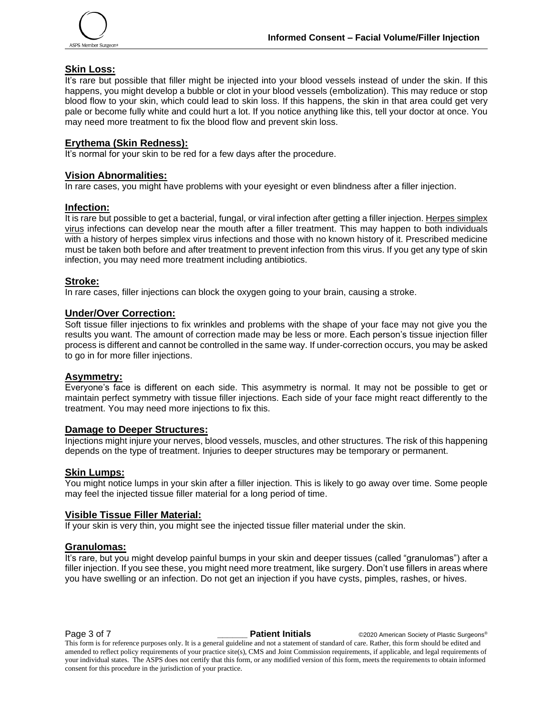

#### **Skin Loss:**

It's rare but possible that filler might be injected into your blood vessels instead of under the skin. If this happens, you might develop a bubble or clot in your blood vessels (embolization). This may reduce or stop blood flow to your skin, which could lead to skin loss. If this happens, the skin in that area could get very pale or become fully white and could hurt a lot. If you notice anything like this, tell your doctor at once. You may need more treatment to fix the blood flow and prevent skin loss.

#### **Erythema (Skin Redness):**

It's normal for your skin to be red for a few days after the procedure.

#### **Vision Abnormalities:**

In rare cases, you might have problems with your eyesight or even blindness after a filler injection.

#### **Infection:**

It is rare but possible to get a bacterial, fungal, or viral infection after getting a filler injection. Herpes simplex virus infections can develop near the mouth after a filler treatment. This may happen to both individuals with a history of herpes simplex virus infections and those with no known history of it. Prescribed medicine must be taken both before and after treatment to prevent infection from this virus. If you get any type of skin infection, you may need more treatment including antibiotics.

#### **Stroke:**

In rare cases, filler injections can block the oxygen going to your brain, causing a stroke.

#### **Under/Over Correction:**

Soft tissue filler injections to fix wrinkles and problems with the shape of your face may not give you the results you want. The amount of correction made may be less or more. Each person's tissue injection filler process is different and cannot be controlled in the same way. If under-correction occurs, you may be asked to go in for more filler injections.

#### **Asymmetry:**

Everyone's face is different on each side. This asymmetry is normal. It may not be possible to get or maintain perfect symmetry with tissue filler injections. Each side of your face might react differently to the treatment. You may need more injections to fix this.

#### **Damage to Deeper Structures:**

Injections might injure your nerves, blood vessels, muscles, and other structures. The risk of this happening depends on the type of treatment. Injuries to deeper structures may be temporary or permanent.

#### **Skin Lumps:**

You might notice lumps in your skin after a filler injection. This is likely to go away over time. Some people may feel the injected tissue filler material for a long period of time.

#### **Visible Tissue Filler Material:**

If your skin is very thin, you might see the injected tissue filler material under the skin.

#### **Granulomas:**

It's rare, but you might develop painful bumps in your skin and deeper tissues (called "granulomas") after a filler injection. If you see these, you might need more treatment, like surgery. Don't use fillers in areas where you have swelling or an infection. Do not get an injection if you have cysts, pimples, rashes, or hives.

**Page 3 of 7** *Patient Initials* **CO2020 American Society of Plastic Surgeons<sup>®</sup>** 

This form is for reference purposes only. It is a general guideline and not a statement of standard of care. Rather, this form should be edited and amended to reflect policy requirements of your practice site(s), CMS and Joint Commission requirements, if applicable, and legal requirements of your individual states. The ASPS does not certify that this form, or any modified version of this form, meets the requirements to obtain informed consent for this procedure in the jurisdiction of your practice.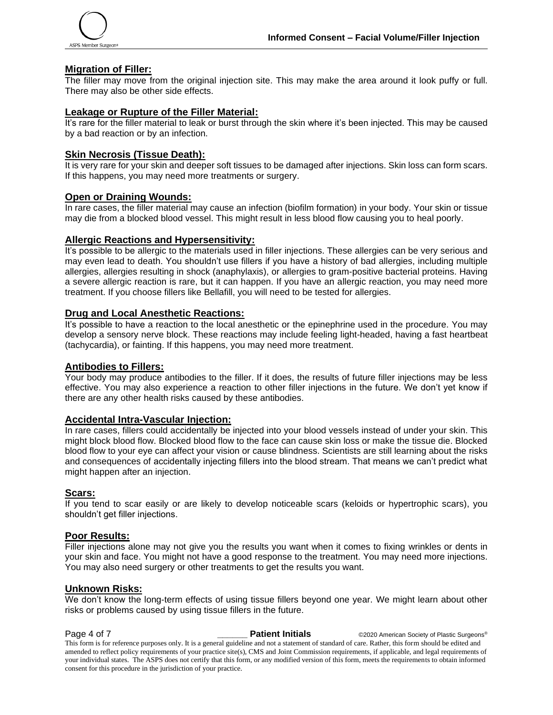

#### **Migration of Filler:**

The filler may move from the original injection site. This may make the area around it look puffy or full. There may also be other side effects.

#### **Leakage or Rupture of the Filler Material:**

It's rare for the filler material to leak or burst through the skin where it's been injected. This may be caused by a bad reaction or by an infection.

#### **Skin Necrosis (Tissue Death):**

It is very rare for your skin and deeper soft tissues to be damaged after injections. Skin loss can form scars. If this happens, you may need more treatments or surgery.

#### **Open or Draining Wounds:**

In rare cases, the filler material may cause an infection (biofilm formation) in your body. Your skin or tissue may die from a blocked blood vessel. This might result in less blood flow causing you to heal poorly.

#### **Allergic Reactions and Hypersensitivity:**

It's possible to be allergic to the materials used in filler injections. These allergies can be very serious and may even lead to death. You shouldn't use fillers if you have a history of bad allergies, including multiple allergies, allergies resulting in shock (anaphylaxis), or allergies to gram-positive bacterial proteins. Having a severe allergic reaction is rare, but it can happen. If you have an allergic reaction, you may need more treatment. If you choose fillers like Bellafill, you will need to be tested for allergies.

#### **Drug and Local Anesthetic Reactions:**

It's possible to have a reaction to the local anesthetic or the epinephrine used in the procedure. You may develop a sensory nerve block. These reactions may include feeling light-headed, having a fast heartbeat (tachycardia), or fainting. If this happens, you may need more treatment.

## **Antibodies to Fillers:**

Your body may produce antibodies to the filler. If it does, the results of future filler injections may be less effective. You may also experience a reaction to other filler injections in the future. We don't yet know if there are any other health risks caused by these antibodies.

#### **Accidental Intra-Vascular Injection:**

In rare cases, fillers could accidentally be injected into your blood vessels instead of under your skin. This might block blood flow. Blocked blood flow to the face can cause skin loss or make the tissue die. Blocked blood flow to your eye can affect your vision or cause blindness. Scientists are still learning about the risks and consequences of accidentally injecting fillers into the blood stream. That means we can't predict what might happen after an injection.

#### **Scars:**

If you tend to scar easily or are likely to develop noticeable scars (keloids or hypertrophic scars), you shouldn't get filler injections.

#### **Poor Results:**

Filler injections alone may not give you the results you want when it comes to fixing wrinkles or dents in your skin and face. You might not have a good response to the treatment. You may need more injections. You may also need surgery or other treatments to get the results you want.

#### **Unknown Risks:**

We don't know the long-term effects of using tissue fillers beyond one year. We might learn about other risks or problems caused by using tissue fillers in the future.

**Page 4 of 7 Patient Initials CO2020 American Society of Plastic Surgeons®** This form is for reference purposes only. It is a general guideline and not a statement of standard of care. Rather, this form should be edited and amended to reflect policy requirements of your practice site(s), CMS and Joint Commission requirements, if applicable, and legal requirements of your individual states. The ASPS does not certify that this form, or any modified version of this form, meets the requirements to obtain informed consent for this procedure in the jurisdiction of your practice.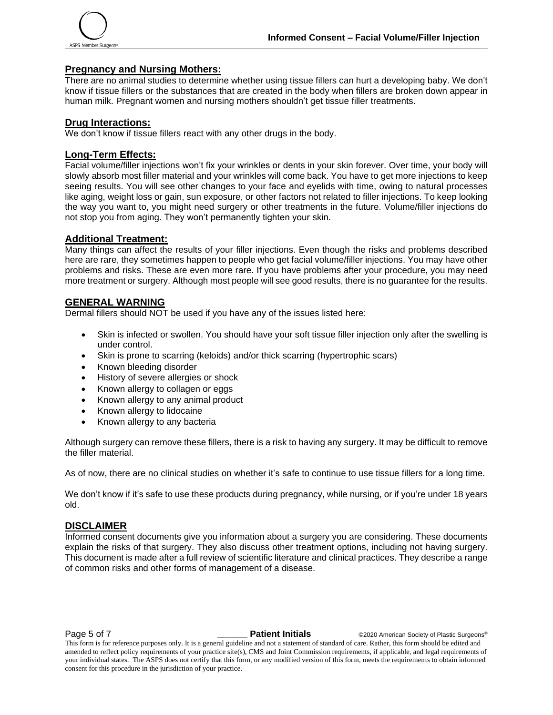

#### **Pregnancy and Nursing Mothers:**

There are no animal studies to determine whether using tissue fillers can hurt a developing baby. We don't know if tissue fillers or the substances that are created in the body when fillers are broken down appear in human milk. Pregnant women and nursing mothers shouldn't get tissue filler treatments.

#### **Drug Interactions:**

We don't know if tissue fillers react with any other drugs in the body.

#### **Long-Term Effects:**

Facial volume/filler injections won't fix your wrinkles or dents in your skin forever. Over time, your body will slowly absorb most filler material and your wrinkles will come back. You have to get more injections to keep seeing results. You will see other changes to your face and eyelids with time, owing to natural processes like aging, weight loss or gain, sun exposure, or other factors not related to filler injections. To keep looking the way you want to, you might need surgery or other treatments in the future. Volume/filler injections do not stop you from aging. They won't permanently tighten your skin.

#### **Additional Treatment:**

Many things can affect the results of your filler injections. Even though the risks and problems described here are rare, they sometimes happen to people who get facial volume/filler injections. You may have other problems and risks. These are even more rare. If you have problems after your procedure, you may need more treatment or surgery. Although most people will see good results, there is no guarantee for the results.

#### **GENERAL WARNING**

Dermal fillers should NOT be used if you have any of the issues listed here:

- Skin is infected or swollen. You should have your soft tissue filler injection only after the swelling is under control.
- Skin is prone to scarring (keloids) and/or thick scarring (hypertrophic scars)
- Known bleeding disorder
- History of severe allergies or shock
- Known allergy to collagen or eggs
- Known allergy to any animal product
- Known allergy to lidocaine
- Known allergy to any bacteria

Although surgery can remove these fillers, there is a risk to having any surgery. It may be difficult to remove the filler material.

As of now, there are no clinical studies on whether it's safe to continue to use tissue fillers for a long time.

We don't know if it's safe to use these products during pregnancy, while nursing, or if you're under 18 years old.

#### **DISCLAIMER**

Informed consent documents give you information about a surgery you are considering. These documents explain the risks of that surgery. They also discuss other treatment options, including not having surgery. This document is made after a full review of scientific literature and clinical practices. They describe a range of common risks and other forms of management of a disease.

**Page 5 of 7** *Patient Initials* **CO2020 American Society of Plastic Surgeons<sup>®</sup>** 

This form is for reference purposes only. It is a general guideline and not a statement of standard of care. Rather, this form should be edited and amended to reflect policy requirements of your practice site(s), CMS and Joint Commission requirements, if applicable, and legal requirements of your individual states. The ASPS does not certify that this form, or any modified version of this form, meets the requirements to obtain informed consent for this procedure in the jurisdiction of your practice.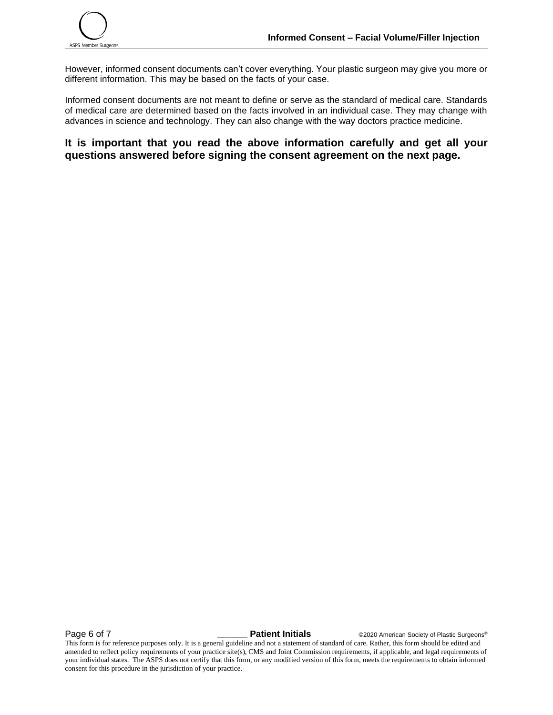

However, informed consent documents can't cover everything. Your plastic surgeon may give you more or different information. This may be based on the facts of your case.

Informed consent documents are not meant to define or serve as the standard of medical care. Standards of medical care are determined based on the facts involved in an individual case. They may change with advances in science and technology. They can also change with the way doctors practice medicine.

**It is important that you read the above information carefully and get all your questions answered before signing the consent agreement on the next page.**

**Page 6 of 7 \_\_\_\_\_\_ Patient Initials** ©2020 American Society of Plastic Surgeons®

This form is for reference purposes only. It is a general guideline and not a statement of standard of care. Rather, this form should be edited and amended to reflect policy requirements of your practice site(s), CMS and Joint Commission requirements, if applicable, and legal requirements of your individual states. The ASPS does not certify that this form, or any modified version of this form, meets the requirements to obtain informed consent for this procedure in the jurisdiction of your practice.